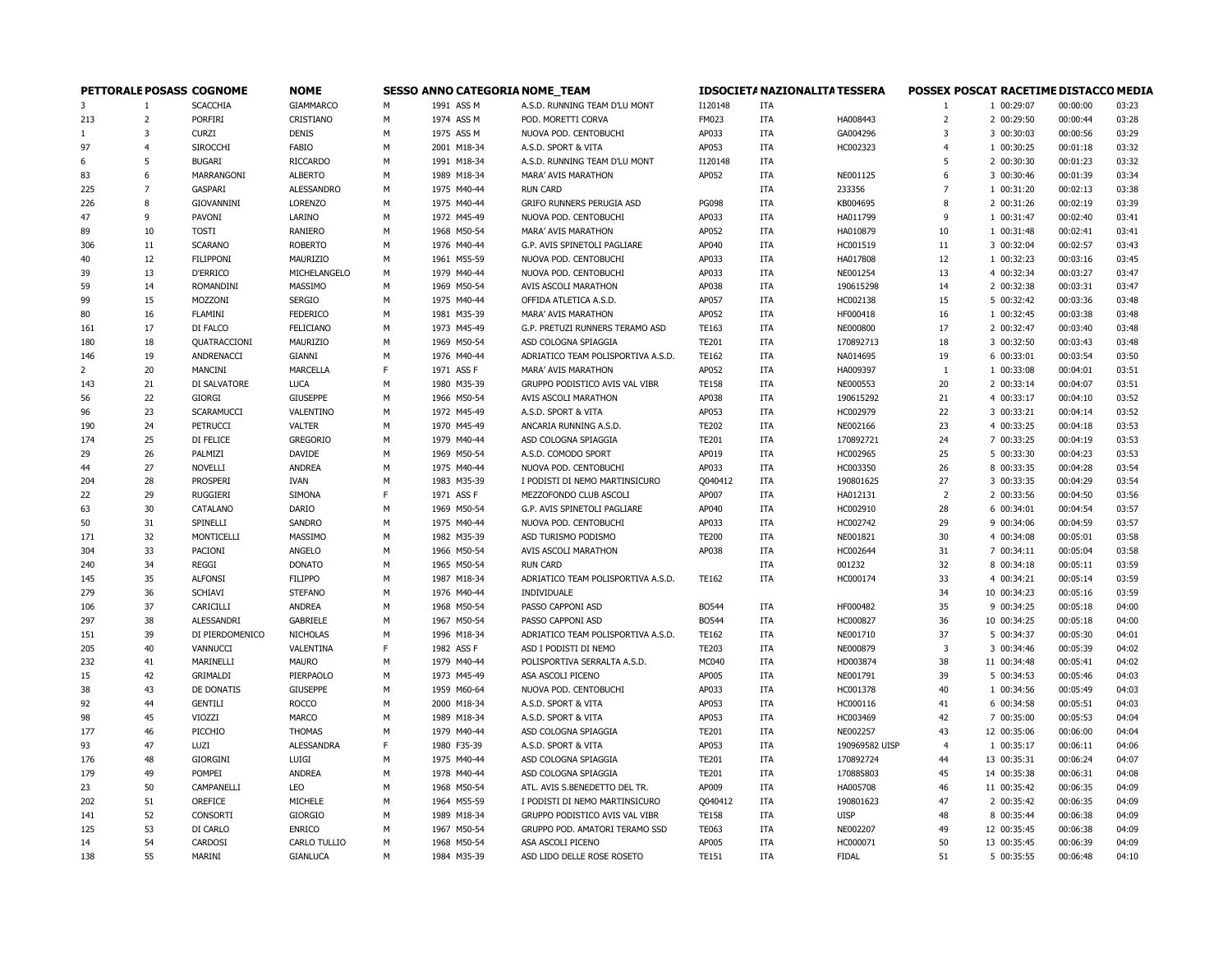| PETTORALE POSASS COGNOME |                |                  | <b>NOME</b>       | <b>SESSO ANNO CATEGORIA NOME_TEAM</b> |             |                                    |              | <b>IDSOCIETA NAZIONALITA TESSERA</b> |                | POSSEX POSCAT RACETIME DISTACCO MEDIA |             |          |       |  |  |
|--------------------------|----------------|------------------|-------------------|---------------------------------------|-------------|------------------------------------|--------------|--------------------------------------|----------------|---------------------------------------|-------------|----------|-------|--|--|
| 3                        | $\mathbf{1}$   | <b>SCACCHIA</b>  | <b>GIAMMARCO</b>  | M                                     | 1991 ASS M  | A.S.D. RUNNING TEAM D'LU MONT      | I120148      | ITA                                  |                | -1                                    | 1 00:29:07  | 00:00:00 | 03:23 |  |  |
| 213                      | $\overline{2}$ | <b>PORFIRI</b>   | CRISTIANO         | М                                     | 1974 ASS M  | POD. MORETTI CORVA                 | FM023        | <b>ITA</b>                           | HA008443       | $\overline{2}$                        | 2 00:29:50  | 00:00:44 | 03:28 |  |  |
| 1                        | 3              | <b>CURZI</b>     | <b>DENIS</b>      | M                                     | 1975 ASS M  | NUOVA POD. CENTOBUCHI              | AP033        | <b>ITA</b>                           | GA004296       | 3                                     | 3 00:30:03  | 00:00:56 | 03:29 |  |  |
| 97                       | $\overline{4}$ | SIROCCHI         | <b>FABIO</b>      | М                                     | 2001 M18-34 | A.S.D. SPORT & VITA                | AP053        | <b>ITA</b>                           | HC002323       | $\overline{4}$                        | 1 00:30:25  | 00:01:18 | 03:32 |  |  |
| 6                        | 5              | <b>BUGARI</b>    | <b>RICCARDO</b>   | М                                     | 1991 M18-34 | A.S.D. RUNNING TEAM D'LU MONT      | I120148      | <b>ITA</b>                           |                | 5                                     | 2 00:30:30  | 00:01:23 | 03:32 |  |  |
| 83                       | 6              | MARRANGONI       | <b>ALBERTO</b>    | M                                     | 1989 M18-34 | <b>MARA' AVIS MARATHON</b>         | AP052        | ITA                                  | NE001125       | 6                                     | 3 00:30:46  | 00:01:39 | 03:34 |  |  |
| 225                      | $\overline{7}$ | GASPARI          | <b>ALESSANDRO</b> | М                                     | 1975 M40-44 | <b>RUN CARD</b>                    |              | <b>ITA</b>                           | 233356         | $\overline{7}$                        | 1 00:31:20  | 00:02:13 | 03:38 |  |  |
| 226                      | 8              | GIOVANNINI       | LORENZO           | M                                     | 1975 M40-44 | GRIFO RUNNERS PERUGIA ASD          | <b>PG098</b> | ITA                                  | KB004695       | 8                                     | 2 00:31:26  | 00:02:19 | 03:39 |  |  |
| 47                       | 9              | PAVONI           | LARINO            | M                                     | 1972 M45-49 | NUOVA POD. CENTOBUCHI              | AP033        | <b>ITA</b>                           | HA011799       | $\mathbf{q}$                          | 1 00:31:47  | 00:02:40 | 03:41 |  |  |
| 89                       | 10             | <b>TOSTI</b>     | <b>RANIERO</b>    | M                                     | 1968 M50-54 | MARA' AVIS MARATHON                | AP052        | <b>ITA</b>                           | HA010879       | 10                                    | 1 00:31:48  | 00:02:41 | 03:41 |  |  |
| 306                      | 11             | <b>SCARANO</b>   | <b>ROBERTO</b>    | М                                     | 1976 M40-44 | G.P. AVIS SPINETOLI PAGLIARE       | AP040        | <b>ITA</b>                           | HC001519       | 11                                    | 3 00:32:04  | 00:02:57 | 03:43 |  |  |
| 40                       | 12             | <b>FILIPPONI</b> | MAURIZIO          | M                                     | 1961 M55-59 | NUOVA POD. CENTOBUCHI              | AP033        | <b>ITA</b>                           | HA017808       | 12                                    | 1 00:32:23  | 00:03:16 | 03:45 |  |  |
| 39                       | 13             | <b>D'ERRICO</b>  | MICHELANGELO      | М                                     | 1979 M40-44 | NUOVA POD. CENTOBUCHI              | AP033        | <b>ITA</b>                           | NE001254       | 13                                    | 4 00:32:34  | 00:03:27 | 03:47 |  |  |
| 59                       | 14             | ROMANDINI        | MASSIMO           | M                                     | 1969 M50-54 | AVIS ASCOLI MARATHON               | AP038        | <b>ITA</b>                           | 190615298      | 14                                    | 2 00:32:38  | 00:03:31 | 03:47 |  |  |
| 99                       | 15             | MOZZONI          | <b>SERGIO</b>     | М                                     | 1975 M40-44 | OFFIDA ATLETICA A.S.D.             | AP057        | <b>ITA</b>                           | HC002138       | 15                                    | 5 00:32:42  | 00:03:36 | 03:48 |  |  |
| 80                       | 16             | FLAMINI          | <b>FEDERICO</b>   | M                                     | 1981 M35-39 | MARA' AVIS MARATHON                | AP052        | <b>ITA</b>                           | HF000418       | 16                                    | 1 00:32:45  | 00:03:38 | 03:48 |  |  |
| 161                      | 17             | DI FALCO         | <b>FELICIANO</b>  | М                                     | 1973 M45-49 | G.P. PRETUZI RUNNERS TERAMO ASD    | TE163        | <b>ITA</b>                           | NE000800       | 17                                    | 2 00:32:47  | 00:03:40 | 03:48 |  |  |
| 180                      | 18             | QUATRACCIONI     | MAURIZIO          | М                                     | 1969 M50-54 | ASD COLOGNA SPIAGGIA               | <b>TE201</b> | <b>ITA</b>                           | 170892713      | 18                                    | 3 00:32:50  | 00:03:43 | 03:48 |  |  |
| 146                      | 19             | ANDRENACCI       | GIANNI            | М                                     | 1976 M40-44 | ADRIATICO TEAM POLISPORTIVA A.S.D. | <b>TE162</b> | <b>ITA</b>                           | NA014695       | 19                                    | 6 00:33:01  | 00:03:54 | 03:50 |  |  |
| $\overline{2}$           | 20             | MANCINI          | MARCELLA          | F                                     | 1971 ASS F  | MARA' AVIS MARATHON                | AP052        | ITA                                  | HA009397       | $\mathbf{1}$                          | 1 00:33:08  | 00:04:01 | 03:51 |  |  |
| 143                      | 21             | DI SALVATORE     | <b>LUCA</b>       | М                                     | 1980 M35-39 | GRUPPO PODISTICO AVIS VAL VIBR     | <b>TE158</b> | ITA                                  | NE000553       | 20                                    | 2 00:33:14  | 00:04:07 | 03:51 |  |  |
| 56                       | 22             | <b>GIORGI</b>    | <b>GIUSEPPE</b>   | М                                     | 1966 M50-54 | AVIS ASCOLI MARATHON               | AP038        | <b>ITA</b>                           | 190615292      | 21                                    | 4 00:33:17  | 00:04:10 | 03:52 |  |  |
| 96                       | 23             | SCARAMUCCI       | VALENTINO         | M                                     | 1972 M45-49 | A.S.D. SPORT & VITA                | AP053        | ITA                                  | HC002979       | 22                                    | 3 00:33:21  | 00:04:14 | 03:52 |  |  |
| 190                      | 24             | <b>PETRUCCI</b>  | <b>VALTER</b>     | M                                     | 1970 M45-49 | ANCARIA RUNNING A.S.D.             | <b>TE202</b> | <b>ITA</b>                           | NE002166       | 23                                    | 4 00:33:25  | 00:04:18 | 03:53 |  |  |
| 174                      | 25             | DI FELICE        | <b>GREGORIO</b>   | M                                     | 1979 M40-44 | ASD COLOGNA SPIAGGIA               | <b>TE201</b> | <b>ITA</b>                           | 170892721      | 24                                    | 7 00:33:25  | 00:04:19 | 03:53 |  |  |
| 29                       | 26             | PALMIZI          | DAVIDE            | М                                     | 1969 M50-54 | A.S.D. COMODO SPORT                | AP019        | <b>ITA</b>                           | HC002965       | 25                                    | 5 00:33:30  | 00:04:23 | 03:53 |  |  |
| 44                       | 27             | NOVELLI          | <b>ANDREA</b>     | M                                     | 1975 M40-44 | NUOVA POD. CENTOBUCHI              | AP033        | <b>ITA</b>                           | HC003350       | 26                                    | 8 00:33:35  | 00:04:28 | 03:54 |  |  |
| 204                      | 28             | <b>PROSPERI</b>  | <b>IVAN</b>       | М                                     | 1983 M35-39 | I PODISTI DI NEMO MARTINSICURO     | Q040412      | <b>ITA</b>                           | 190801625      | 27                                    | 3 00:33:35  | 00:04:29 | 03:54 |  |  |
| 22                       | 29             | <b>RUGGIERI</b>  | SIMONA            | F                                     | 1971 ASS F  | MEZZOFONDO CLUB ASCOLI             | AP007        | ITA                                  | HA012131       | $\overline{2}$                        | 2 00:33:56  | 00:04:50 | 03:56 |  |  |
| 63                       | 30             | CATALANO         | DARIO             | M                                     | 1969 M50-54 | G.P. AVIS SPINETOLI PAGLIARE       | AP040        | <b>ITA</b>                           | HC002910       | 28                                    | 6 00:34:01  | 00:04:54 | 03:57 |  |  |
| 50                       | 31             | SPINELLI         | <b>SANDRO</b>     | M                                     | 1975 M40-44 | NUOVA POD. CENTOBUCHI              | AP033        | <b>ITA</b>                           | HC002742       | 29                                    | 9 00:34:06  | 00:04:59 | 03:57 |  |  |
| 171                      | 32             | MONTICELLI       | MASSIMO           | М                                     | 1982 M35-39 | ASD TURISMO PODISMO                | <b>TE200</b> | <b>ITA</b>                           | NE001821       | 30                                    | 4 00:34:08  | 00:05:01 | 03:58 |  |  |
| 304                      | 33             | PACIONI          | ANGELO            | M                                     | 1966 M50-54 | AVIS ASCOLI MARATHON               | AP038        | <b>ITA</b>                           | HC002644       | 31                                    | 7 00:34:11  | 00:05:04 | 03:58 |  |  |
|                          | 34             | REGGI            | <b>DONATO</b>     | М                                     | 1965 M50-54 | <b>RUN CARD</b>                    |              | <b>ITA</b>                           | 001232         | 32                                    | 8 00:34:18  | 00:05:11 | 03:59 |  |  |
| 240<br>145               | 35             | <b>ALFONSI</b>   | <b>FILIPPO</b>    | М                                     | 1987 M18-34 | ADRIATICO TEAM POLISPORTIVA A.S.D. | TE162        | <b>ITA</b>                           | HC000174       | 33                                    | 4 00:34:21  | 00:05:14 | 03:59 |  |  |
| 279                      | 36             | <b>SCHIAVI</b>   | <b>STEFANO</b>    | М                                     | 1976 M40-44 | INDIVIDUALE                        |              |                                      |                | 34                                    | 10 00:34:23 | 00:05:16 | 03:59 |  |  |
|                          | 37             | CARICILLI        | <b>ANDREA</b>     | М                                     | 1968 M50-54 | PASSO CAPPONI ASD                  | <b>BO544</b> | ITA                                  | HF000482       | 35                                    | 9 00:34:25  | 00:05:18 | 04:00 |  |  |
| 106<br>297               |                | ALESSANDRI       | <b>GABRIELE</b>   | М                                     | 1967 M50-54 | PASSO CAPPONI ASD                  | BO544        | ITA                                  |                | 36                                    |             |          | 04:00 |  |  |
|                          | 38             |                  |                   | M                                     |             |                                    |              |                                      | HC000827       |                                       | 10 00:34:25 | 00:05:18 | 04:01 |  |  |
| 151                      | 39             | DI PIERDOMENICO  | <b>NICHOLAS</b>   | E                                     | 1996 M18-34 | ADRIATICO TEAM POLISPORTIVA A.S.D. | TE162        | <b>ITA</b>                           | NE001710       | 37                                    | 5 00:34:37  | 00:05:30 |       |  |  |
| 205                      | 40             | VANNUCCI         | VALENTINA         |                                       | 1982 ASS F  | ASD I PODISTI DI NEMO              | <b>TE203</b> | <b>ITA</b>                           | NE000879       | 3                                     | 3 00:34:46  | 00:05:39 | 04:02 |  |  |
| 232                      | 41             | MARINELLI        | <b>MAURO</b>      | М                                     | 1979 M40-44 | POLISPORTIVA SERRALTA A.S.D.       | MC040        | <b>ITA</b>                           | HD003874       | 38                                    | 11 00:34:48 | 00:05:41 | 04:02 |  |  |
| 15                       | 42             | GRIMALDI         | PIERPAOLO         | M                                     | 1973 M45-49 | ASA ASCOLI PICENO                  | AP005        | <b>ITA</b>                           | NE001791       | 39                                    | 5 00:34:53  | 00:05:46 | 04:03 |  |  |
| 38                       | 43             | DE DONATIS       | <b>GIUSEPPE</b>   | М                                     | 1959 M60-64 | NUOVA POD. CENTOBUCHI              | AP033        | <b>ITA</b>                           | HC001378       | 40                                    | 1 00:34:56  | 00:05:49 | 04:03 |  |  |
| 92                       | 44             | <b>GENTILI</b>   | <b>ROCCO</b>      | M                                     | 2000 M18-34 | A.S.D. SPORT & VITA                | AP053        | ITA                                  | HC000116       | 41                                    | 6 00:34:58  | 00:05:51 | 04:03 |  |  |
| 98                       | 45             | VIOZZI           | MARCO             | M                                     | 1989 M18-34 | A.S.D. SPORT & VITA                | AP053        | <b>ITA</b>                           | HC003469       | 42                                    | 7 00:35:00  | 00:05:53 | 04:04 |  |  |
| 177                      | 46             | PICCHIO          | <b>THOMAS</b>     | М                                     | 1979 M40-44 | ASD COLOGNA SPIAGGIA               | <b>TE201</b> | <b>ITA</b>                           | NE002257       | 43                                    | 12 00:35:06 | 00:06:00 | 04:04 |  |  |
| 93                       | 47             | LUZI             | <b>ALESSANDRA</b> | F                                     | 1980 F35-39 | A.S.D. SPORT & VITA                | AP053        | <b>ITA</b>                           | 190969582 UISP | $\overline{4}$                        | 1 00:35:17  | 00:06:11 | 04:06 |  |  |
| 176                      | 48             | <b>GIORGINI</b>  | LUIGI             | M                                     | 1975 M40-44 | ASD COLOGNA SPIAGGIA               | <b>TE201</b> | <b>ITA</b>                           | 170892724      | 44                                    | 13 00:35:31 | 00:06:24 | 04:07 |  |  |
| 179                      | 49             | POMPEI           | <b>ANDREA</b>     | М                                     | 1978 M40-44 | ASD COLOGNA SPIAGGIA               | <b>TE201</b> | <b>ITA</b>                           | 170885803      | 45                                    | 14 00:35:38 | 00:06:31 | 04:08 |  |  |
| 23                       | 50             | CAMPANELLI       | LEO               | M                                     | 1968 M50-54 | ATL. AVIS S.BENEDETTO DEL TR.      | AP009        | <b>ITA</b>                           | HA005708       | 46                                    | 11 00:35:42 | 00:06:35 | 04:09 |  |  |
| 202                      | 51             | OREFICE          | MICHELE           | М                                     | 1964 M55-59 | I PODISTI DI NEMO MARTINSICURO     | Q040412      | <b>ITA</b>                           | 190801623      | 47                                    | 2 00:35:42  | 00:06:35 | 04:09 |  |  |
| 141                      | 52             | CONSORTI         | <b>GIORGIO</b>    | M                                     | 1989 M18-34 | GRUPPO PODISTICO AVIS VAL VIBR     | <b>TE158</b> | <b>ITA</b>                           | <b>UISP</b>    | 48                                    | 8 00:35:44  | 00:06:38 | 04:09 |  |  |
| 125                      | 53             | DI CARLO         | <b>ENRICO</b>     | М                                     | 1967 M50-54 | GRUPPO POD. AMATORI TERAMO SSD     | <b>TE063</b> | <b>ITA</b>                           | NE002207       | 49                                    | 12 00:35:45 | 00:06:38 | 04:09 |  |  |
| 14                       | 54             | CARDOSI          | CARLO TULLIO      | M                                     | 1968 M50-54 | ASA ASCOLI PICENO                  | AP005        | <b>ITA</b>                           | HC000071       | 50                                    | 13 00:35:45 | 00:06:39 | 04:09 |  |  |
| 138                      | 55             | MARINI           | <b>GIANLUCA</b>   | M                                     | 1984 M35-39 | ASD LIDO DELLE ROSE ROSETO         | <b>TE151</b> | <b>ITA</b>                           | <b>FIDAL</b>   | 51                                    | 5 00:35:55  | 00:06:48 | 04:10 |  |  |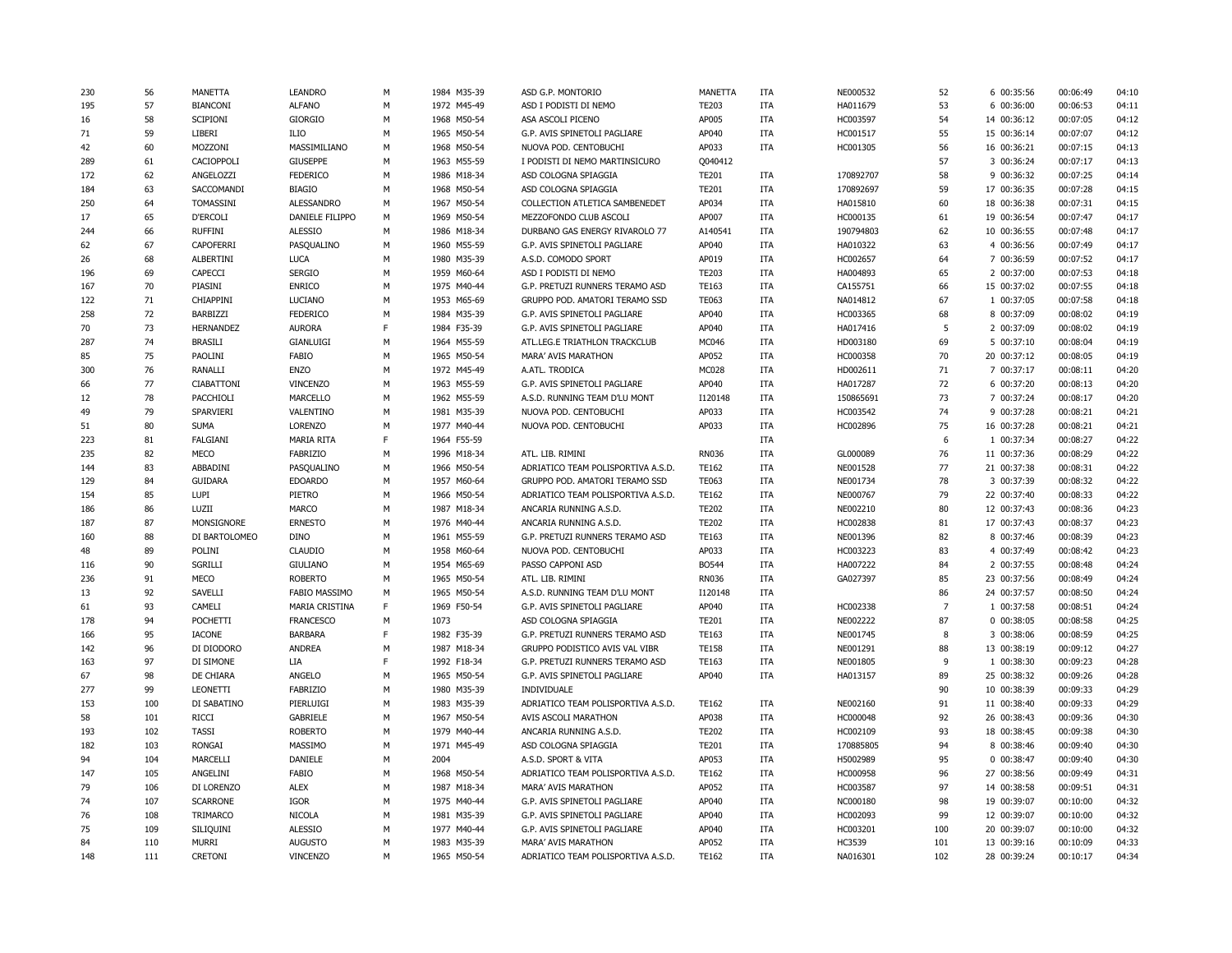| 230 | 56  | MANETTA           | <b>LEANDRO</b>       | М | 1984 M35-39 | ASD G.P. MONTORIO                  | <b>MANETTA</b> | <b>ITA</b> | NE000532  | 52             | 6 00:35:56  | 00:06:49 | 04:10 |
|-----|-----|-------------------|----------------------|---|-------------|------------------------------------|----------------|------------|-----------|----------------|-------------|----------|-------|
| 195 | 57  | <b>BIANCONI</b>   | <b>ALFANO</b>        | M | 1972 M45-49 | ASD I PODISTI DI NEMO              | <b>TE203</b>   | <b>ITA</b> | HA011679  | 53             | 6 00:36:00  | 00:06:53 | 04:11 |
| 16  | 58  | SCIPIONI          | <b>GIORGIO</b>       | М | 1968 M50-54 | ASA ASCOLI PICENO                  | AP005          | ITA        | HC003597  | 54             | 14 00:36:12 | 00:07:05 | 04:12 |
| 71  | 59  | LIBERI            | <b>ILIO</b>          | M | 1965 M50-54 | G.P. AVIS SPINETOLI PAGLIARE       | AP040          | ITA        | HC001517  | 55             | 15 00:36:14 | 00:07:07 | 04:12 |
| 42  | 60  | MOZZONI           | MASSIMILIANO         | M | 1968 M50-54 | NUOVA POD. CENTOBUCHI              | AP033          | ITA        | HC001305  | 56             | 16 00:36:21 | 00:07:15 | 04:13 |
| 289 | 61  | CACIOPPOLI        | <b>GIUSEPPE</b>      | M | 1963 M55-59 | I PODISTI DI NEMO MARTINSICURO     | Q040412        |            |           | 57             | 3 00:36:24  | 00:07:17 | 04:13 |
| 172 | 62  | ANGELOZZI         | <b>FEDERICO</b>      | M | 1986 M18-34 | ASD COLOGNA SPIAGGIA               | <b>TE201</b>   | <b>ITA</b> | 170892707 | 58             | 9 00:36:32  | 00:07:25 | 04:14 |
| 184 | 63  | SACCOMANDI        | <b>BIAGIO</b>        | M | 1968 M50-54 | ASD COLOGNA SPIAGGIA               | <b>TE201</b>   | <b>ITA</b> | 170892697 | 59             | 17 00:36:35 | 00:07:28 | 04:15 |
| 250 | 64  | TOMASSINI         | <b>ALESSANDRO</b>    | M | 1967 M50-54 | COLLECTION ATLETICA SAMBENEDET     | AP034          | <b>ITA</b> | HA015810  | 60             | 18 00:36:38 | 00:07:31 | 04:15 |
| 17  | 65  | <b>D'ERCOLI</b>   | DANIELE FILIPPO      | M | 1969 M50-54 | MEZZOFONDO CLUB ASCOLI             | AP007          | ITA        | HC000135  | 61             | 19 00:36:54 | 00:07:47 | 04:17 |
| 244 | 66  | <b>RUFFINI</b>    | <b>ALESSIO</b>       | M | 1986 M18-34 | DURBANO GAS ENERGY RIVAROLO 77     | A140541        | <b>ITA</b> | 190794803 | 62             | 10 00:36:55 | 00:07:48 | 04:17 |
| 62  | 67  | <b>CAPOFERRI</b>  | PASQUALINO           | М | 1960 M55-59 | G.P. AVIS SPINETOLI PAGLIARE       | AP040          | <b>ITA</b> | HA010322  | 63             | 4 00:36:56  | 00:07:49 | 04:17 |
| 26  | 68  | <b>ALBERTINI</b>  | <b>LUCA</b>          | M | 1980 M35-39 | A.S.D. COMODO SPORT                | AP019          | ITA        | HC002657  | 64             | 7 00:36:59  | 00:07:52 | 04:17 |
| 196 | 69  | CAPECCI           | <b>SERGIO</b>        | М | 1959 M60-64 | ASD I PODISTI DI NEMO              | TE203          | <b>ITA</b> | HA004893  | 65             | 2 00:37:00  | 00:07:53 | 04:18 |
| 167 | 70  | PIASINI           | <b>ENRICO</b>        | M | 1975 M40-44 | G.P. PRETUZI RUNNERS TERAMO ASD    | TE163          | ITA        | CA155751  | 66             | 15 00:37:02 | 00:07:55 | 04:18 |
| 122 | 71  | CHIAPPINI         | LUCIANO              | M | 1953 M65-69 | GRUPPO POD. AMATORI TERAMO SSD     | <b>TE063</b>   | ITA        | NA014812  | 67             | 1 00:37:05  | 00:07:58 | 04:18 |
| 258 | 72  | BARBIZZI          | <b>FEDERICO</b>      | M | 1984 M35-39 | G.P. AVIS SPINETOLI PAGLIARE       | AP040          | <b>ITA</b> | HC003365  | 68             | 8 00:37:09  | 00:08:02 | 04:19 |
| 70  | 73  | HERNANDEZ         | <b>AURORA</b>        | F | 1984 F35-39 | G.P. AVIS SPINETOLI PAGLIARE       | AP040          | <b>ITA</b> | HA017416  | 5              | 2 00:37:09  | 00:08:02 | 04:19 |
| 287 | 74  | <b>BRASILI</b>    | GIANLUIGI            | M | 1964 M55-59 | ATL.LEG.E TRIATHLON TRACKCLUB      | MC046          | ITA        | HD003180  | 69             | 5 00:37:10  | 00:08:04 | 04:19 |
| 85  | 75  | PAOLINI           | FABIO                | M | 1965 M50-54 | MARA' AVIS MARATHON                | AP052          | <b>ITA</b> | HC000358  | 70             | 20 00:37:12 | 00:08:05 | 04:19 |
| 300 | 76  | RANALLI           | <b>ENZO</b>          | М | 1972 M45-49 | A.ATL. TRODICA                     | MC028          | <b>ITA</b> | HD002611  | 71             | 7 00:37:17  | 00:08:11 | 04:20 |
| 66  | 77  | <b>CIABATTONI</b> | <b>VINCENZO</b>      | M | 1963 M55-59 | G.P. AVIS SPINETOLI PAGLIARE       | AP040          | <b>ITA</b> | HA017287  | 72             | 6 00:37:20  | 00:08:13 | 04:20 |
| 12  | 78  | PACCHIOLI         | <b>MARCELLO</b>      | М | 1962 M55-59 | A.S.D. RUNNING TEAM D'LU MONT      | I120148        | <b>ITA</b> | 150865691 | 73             | 7 00:37:24  | 00:08:17 | 04:20 |
| 49  | 79  | SPARVIERI         | VALENTINO            | M | 1981 M35-39 | NUOVA POD. CENTOBUCHI              | AP033          | ITA        | HC003542  | 74             | 9 00:37:28  | 00:08:21 | 04:21 |
| 51  | 80  | <b>SUMA</b>       | LORENZO              | M | 1977 M40-44 | NUOVA POD. CENTOBUCHI              | AP033          | ITA        | HC002896  | 75             | 16 00:37:28 | 00:08:21 | 04:21 |
| 223 | 81  | FALGIANI          | <b>MARIA RITA</b>    | F | 1964 F55-59 |                                    |                | <b>ITA</b> |           | 6              | 1 00:37:34  | 00:08:27 | 04:22 |
| 235 | 82  | MECO              | FABRIZIO             | М | 1996 M18-34 | ATL. LIB. RIMINI                   | RN036          | ITA        | GL000089  | 76             | 11 00:37:36 | 00:08:29 | 04:22 |
| 144 | 83  | ABBADINI          | PASQUALINO           | М | 1966 M50-54 | ADRIATICO TEAM POLISPORTIVA A.S.D. | <b>TE162</b>   | <b>ITA</b> | NE001528  | 77             | 21 00:37:38 | 00:08:31 | 04:22 |
| 129 | 84  | <b>GUIDARA</b>    | <b>EDOARDO</b>       | M | 1957 M60-64 | GRUPPO POD. AMATORI TERAMO SSD     | <b>TE063</b>   | <b>ITA</b> | NE001734  | 78             | 3 00:37:39  | 00:08:32 | 04:22 |
| 154 | 85  | LUPI              | PIETRO               | М | 1966 M50-54 | ADRIATICO TEAM POLISPORTIVA A.S.D. | TE162          | <b>ITA</b> | NE000767  | 79             | 22 00:37:40 | 00:08:33 | 04:22 |
| 186 | 86  | LUZII             | <b>MARCO</b>         | M | 1987 M18-34 | ANCARIA RUNNING A.S.D.             | <b>TE202</b>   | <b>ITA</b> | NE002210  | 80             | 12 00:37:43 | 00:08:36 | 04:23 |
| 187 | 87  | MONSIGNORE        | <b>ERNESTO</b>       | M | 1976 M40-44 | ANCARIA RUNNING A.S.D.             | <b>TE202</b>   | <b>ITA</b> | HC002838  | 81             | 17 00:37:43 | 00:08:37 | 04:23 |
| 160 | 88  | DI BARTOLOMEO     | <b>DINO</b>          | M | 1961 M55-59 | G.P. PRETUZI RUNNERS TERAMO ASD    | TE163          | <b>ITA</b> | NE001396  | 82             | 8 00:37:46  | 00:08:39 | 04:23 |
| 48  | 89  | POLINI            | <b>CLAUDIO</b>       | М | 1958 M60-64 | NUOVA POD. CENTOBUCHI              | AP033          | <b>ITA</b> | HC003223  | 83             | 4 00:37:49  | 00:08:42 | 04:23 |
| 116 | 90  | SGRILLI           | <b>GIULIANO</b>      | M | 1954 M65-69 | PASSO CAPPONI ASD                  | <b>BO544</b>   | <b>ITA</b> | HA007222  | 84             | 2 00:37:55  | 00:08:48 | 04:24 |
| 236 | 91  | MECO              | <b>ROBERTO</b>       | М | 1965 M50-54 | ATL. LIB. RIMINI                   | RN036          | ITA        | GA027397  | 85             | 23 00:37:56 | 00:08:49 | 04:24 |
| 13  | 92  | SAVELLI           | <b>FABIO MASSIMO</b> | М | 1965 M50-54 | A.S.D. RUNNING TEAM D'LU MONT      | I120148        | <b>ITA</b> |           | 86             | 24 00:37:57 | 00:08:50 | 04:24 |
| 61  | 93  | CAMELI            | MARIA CRISTINA       | F | 1969 F50-54 | G.P. AVIS SPINETOLI PAGLIARE       | AP040          | <b>ITA</b> | HC002338  | $\overline{7}$ | 1 00:37:58  | 00:08:51 | 04:24 |
| 178 | 94  | POCHETTI          | <b>FRANCESCO</b>     | M | 1073        | ASD COLOGNA SPIAGGIA               | <b>TE201</b>   | ITA        | NE002222  | 87             | 0 00:38:05  | 00:08:58 | 04:25 |
| 166 | 95  | <b>IACONE</b>     | <b>BARBARA</b>       | F | 1982 F35-39 | G.P. PRETUZI RUNNERS TERAMO ASD    | TE163          | <b>ITA</b> | NE001745  | 8              | 3 00:38:06  | 00:08:59 | 04:25 |
| 142 | 96  | DI DIODORO        | <b>ANDREA</b>        | M | 1987 M18-34 | GRUPPO PODISTICO AVIS VAL VIBR     | <b>TE158</b>   | <b>ITA</b> | NE001291  | 88             | 13 00:38:19 | 00:09:12 | 04:27 |
| 163 | 97  | DI SIMONE         | LIA                  | F | 1992 F18-34 | G.P. PRETUZI RUNNERS TERAMO ASD    | TE163          | ITA        | NE001805  | 9              | 1 00:38:30  | 00:09:23 | 04:28 |
| 67  | 98  | DE CHIARA         | ANGELO               | М | 1965 M50-54 | G.P. AVIS SPINETOLI PAGLIARE       | AP040          | <b>ITA</b> | HA013157  | 89             | 25 00:38:32 | 00:09:26 | 04:28 |
| 277 | 99  | LEONETTI          | FABRIZIO             | M | 1980 M35-39 | INDIVIDUALE                        |                |            |           | 90             | 10 00:38:39 | 00:09:33 | 04:29 |
| 153 | 100 | DI SABATINO       | PIERLUIGI            | M | 1983 M35-39 | ADRIATICO TEAM POLISPORTIVA A.S.D. | <b>TE162</b>   | <b>ITA</b> | NE002160  | 91             | 11 00:38:40 | 00:09:33 | 04:29 |
| 58  | 101 | <b>RICCI</b>      | <b>GABRIELE</b>      | M | 1967 M50-54 | AVIS ASCOLI MARATHON               | AP038          | <b>ITA</b> | HC000048  | 92             | 26 00:38:43 | 00:09:36 | 04:30 |
| 193 | 102 | <b>TASSI</b>      | <b>ROBERTO</b>       | М | 1979 M40-44 | ANCARIA RUNNING A.S.D.             | <b>TE202</b>   | <b>ITA</b> | HC002109  | 93             | 18 00:38:45 | 00:09:38 | 04:30 |
| 182 | 103 | <b>RONGAI</b>     | MASSIMO              | M | 1971 M45-49 | ASD COLOGNA SPIAGGIA               | <b>TE201</b>   | ITA        | 170885805 | 94             | 8 00:38:46  | 00:09:40 | 04:30 |
| 94  | 104 | MARCELLI          | DANIELE              | М | 2004        | A.S.D. SPORT & VITA                | AP053          | <b>ITA</b> | H5002989  | 95             | 0 00:38:47  | 00:09:40 | 04:30 |
| 147 | 105 | ANGELINI          | FABIO                | M | 1968 M50-54 | ADRIATICO TEAM POLISPORTIVA A.S.D. | TE162          | <b>ITA</b> | HC000958  | 96             | 27 00:38:56 | 00:09:49 | 04:31 |
| 79  | 106 | DI LORENZO        | <b>ALEX</b>          | М | 1987 M18-34 | MARA' AVIS MARATHON                | AP052          | ITA        | HC003587  | 97             | 14 00:38:58 | 00:09:51 | 04:31 |
| 74  | 107 | <b>SCARRONE</b>   | <b>IGOR</b>          | М | 1975 M40-44 | G.P. AVIS SPINETOLI PAGLIARE       | AP040          | <b>ITA</b> | NC000180  | 98             | 19 00:39:07 | 00:10:00 | 04:32 |
| 76  | 108 | TRIMARCO          | <b>NICOLA</b>        | M | 1981 M35-39 | G.P. AVIS SPINETOLI PAGLIARE       | AP040          | <b>ITA</b> | HC002093  | 99             | 12 00:39:07 | 00:10:00 | 04:32 |
| 75  | 109 | SILIQUINI         | <b>ALESSIO</b>       | M | 1977 M40-44 | G.P. AVIS SPINETOLI PAGLIARE       | AP040          | <b>ITA</b> | HC003201  | 100            | 20 00:39:07 | 00:10:00 | 04:32 |
| 84  | 110 | <b>MURRI</b>      | <b>AUGUSTO</b>       | M | 1983 M35-39 | MARA' AVIS MARATHON                | AP052          | <b>ITA</b> | HC3539    | 101            | 13 00:39:16 | 00:10:09 | 04:33 |
| 148 | 111 | <b>CRETONI</b>    | VINCENZO             | M | 1965 M50-54 | ADRIATICO TEAM POLISPORTIVA A.S.D. | <b>TE162</b>   | <b>ITA</b> | NA016301  | 102            | 28 00:39:24 | 00:10:17 | 04:34 |
|     |     |                   |                      |   |             |                                    |                |            |           |                |             |          |       |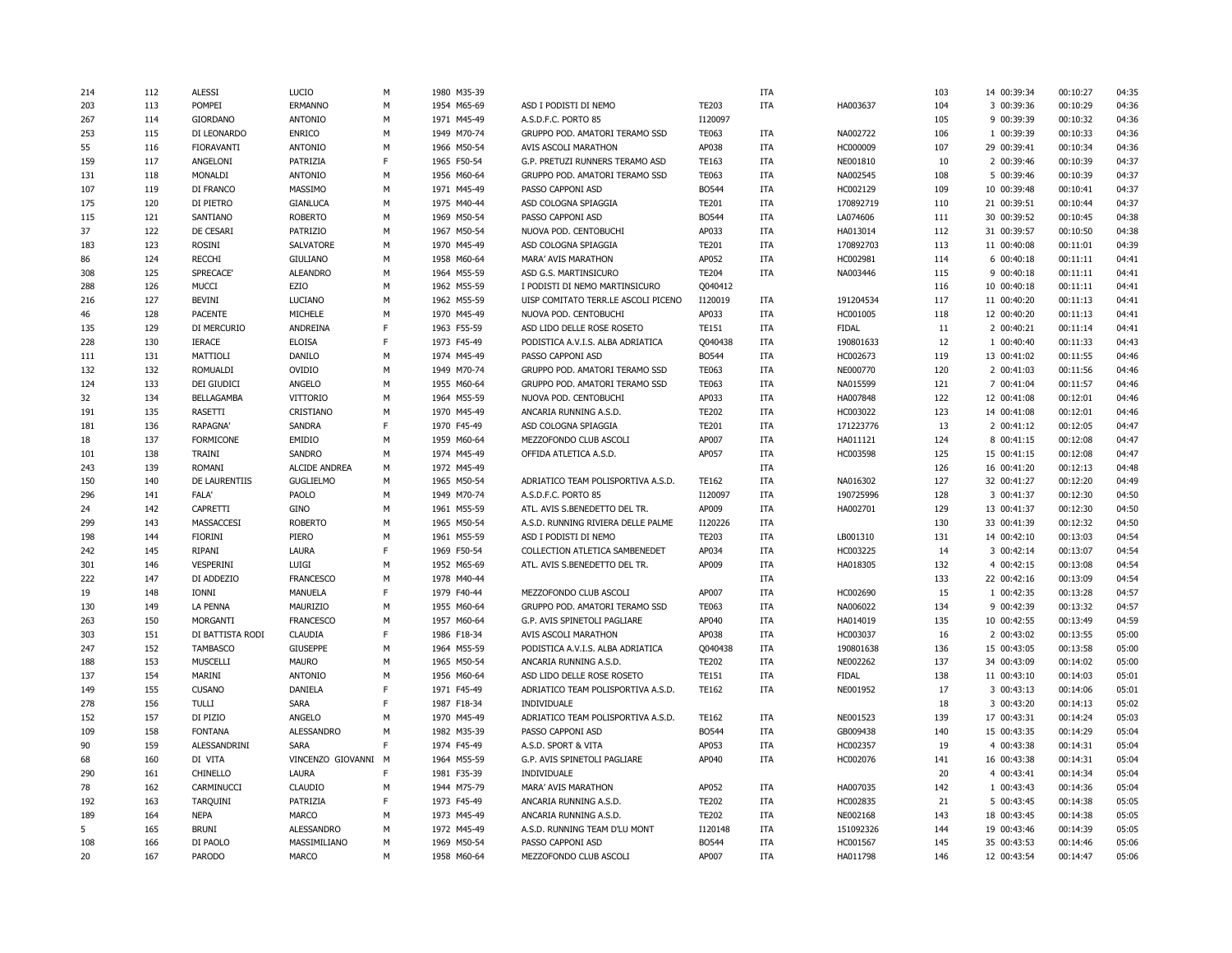| 214 | 112 | <b>ALESSI</b>     | LUCIO                | M | 1980 M35-39 |                                     |              | ITA        |              | 103       | 14 00:39:34 | 00:10:27 | 04:35          |
|-----|-----|-------------------|----------------------|---|-------------|-------------------------------------|--------------|------------|--------------|-----------|-------------|----------|----------------|
| 203 | 113 | POMPEI            | ERMANNO              | M | 1954 M65-69 | ASD I PODISTI DI NEMO               | <b>TE203</b> | <b>ITA</b> | HA003637     | 104       | 3 00:39:36  | 00:10:29 | 04:36          |
| 267 | 114 | <b>GIORDANO</b>   | <b>ANTONIO</b>       | M | 1971 M45-49 | A.S.D.F.C. PORTO 85                 | I120097      |            |              | 105       | 9 00:39:39  | 00:10:32 | 04:36          |
| 253 | 115 | DI LEONARDO       | <b>ENRICO</b>        | M | 1949 M70-74 | GRUPPO POD. AMATORI TERAMO SSD      | <b>TE063</b> | ITA        | NA002722     | 106       | 1 00:39:39  | 00:10:33 | 04:36          |
| 55  | 116 | <b>FIORAVANTI</b> | <b>ANTONIO</b>       | M | 1966 M50-54 | AVIS ASCOLI MARATHON                | AP038        | <b>ITA</b> | HC000009     | 107       | 29 00:39:41 | 00:10:34 | 04:36          |
| 159 | 117 | ANGELONI          | PATRIZIA             | F | 1965 F50-54 | G.P. PRETUZI RUNNERS TERAMO ASD     | TE163        | <b>ITA</b> | NE001810     | 10        | 2 00:39:46  | 00:10:39 | 04:37          |
| 131 | 118 | MONALDI           | <b>ANTONIO</b>       | M | 1956 M60-64 | GRUPPO POD. AMATORI TERAMO SSD      | <b>TE063</b> | ITA        | NA002545     | 108       | 5 00:39:46  | 00:10:39 | 04:37          |
| 107 | 119 | DI FRANCO         | MASSIMO              | M | 1971 M45-49 | PASSO CAPPONI ASD                   | <b>BO544</b> | ITA        | HC002129     | 109       | 10 00:39:48 | 00:10:41 | 04:37          |
| 175 | 120 | DI PIETRO         | <b>GIANLUCA</b>      | M | 1975 M40-44 | ASD COLOGNA SPIAGGIA                | <b>TE201</b> | <b>ITA</b> | 170892719    | 110       | 21 00:39:51 | 00:10:44 | 04:37          |
| 115 | 121 | SANTIANO          | <b>ROBERTO</b>       | М | 1969 M50-54 | PASSO CAPPONI ASD                   | <b>BO544</b> | <b>ITA</b> | LA074606     | 111       | 30 00:39:52 | 00:10:45 | 04:38          |
| 37  | 122 | DE CESARI         | PATRIZIO             | M | 1967 M50-54 | NUOVA POD. CENTOBUCHI               | AP033        | <b>ITA</b> | HA013014     | 112       | 31 00:39:57 | 00:10:50 | 04:38          |
| 183 | 123 | ROSINI            | SALVATORE            | М | 1970 M45-49 | ASD COLOGNA SPIAGGIA                | <b>TE201</b> | <b>ITA</b> | 170892703    | 113       | 11 00:40:08 | 00:11:01 | 04:39          |
| 86  | 124 | <b>RECCHI</b>     | <b>GIULIANO</b>      | M | 1958 M60-64 | MARA' AVIS MARATHON                 | AP052        | ITA        | HC002981     | 114       | 6 00:40:18  | 00:11:11 | 04:41          |
| 308 | 125 | SPRECACE'         | <b>ALEANDRO</b>      | M |             | ASD G.S. MARTINSICURO               |              | <b>ITA</b> |              | 115       |             |          | 04:41          |
|     |     |                   |                      |   | 1964 M55-59 |                                     | <b>TE204</b> |            | NA003446     |           | 9 00:40:18  | 00:11:11 |                |
| 288 | 126 | <b>MUCCI</b>      | EZIO                 | М | 1962 M55-59 | I PODISTI DI NEMO MARTINSICURO      | Q040412      |            |              | 116       | 10 00:40:18 | 00:11:11 | 04:41          |
| 216 | 127 | <b>BEVINI</b>     | LUCIANO              | M | 1962 M55-59 | UISP COMITATO TERR.LE ASCOLI PICENO | I120019      | <b>ITA</b> | 191204534    | 117       | 11 00:40:20 | 00:11:13 | 04:41          |
| 46  | 128 | <b>PACENTE</b>    | MICHELE              | M | 1970 M45-49 | NUOVA POD. CENTOBUCHI               | AP033        | <b>ITA</b> | HC001005     | 118       | 12 00:40:20 | 00:11:13 | 04:41          |
| 135 | 129 | DI MERCURIO       | ANDREINA             | F | 1963 F55-59 | ASD LIDO DELLE ROSE ROSETO          | <b>TE151</b> | <b>ITA</b> | <b>FIDAL</b> | 11        | 2 00:40:21  | 00:11:14 | 04:41          |
| 228 | 130 | <b>IERACE</b>     | <b>ELOISA</b>        | F | 1973 F45-49 | PODISTICA A.V.I.S. ALBA ADRIATICA   | Q040438      | <b>ITA</b> | 190801633    | 12        | 1 00:40:40  | 00:11:33 | 04:43          |
| 111 | 131 | MATTIOLI          | DANILO               | M | 1974 M45-49 | PASSO CAPPONI ASD                   | <b>BO544</b> | <b>ITA</b> | HC002673     | 119       | 13 00:41:02 | 00:11:55 | 04:46          |
| 132 | 132 | ROMUALDI          | OVIDIO               | М | 1949 M70-74 | GRUPPO POD. AMATORI TERAMO SSD      | TE063        | <b>ITA</b> | NE000770     | 120       | 2 00:41:03  | 00:11:56 | 04:46          |
| 124 | 133 | DEI GIUDICI       | ANGELO               | M | 1955 M60-64 | GRUPPO POD. AMATORI TERAMO SSD      | <b>TE063</b> | <b>ITA</b> | NA015599     | 121       | 7 00:41:04  | 00:11:57 | 04:46          |
| 32  | 134 | BELLAGAMBA        | VITTORIO             | M | 1964 M55-59 | NUOVA POD. CENTOBUCHI               | AP033        | <b>ITA</b> | HA007848     | 122       | 12 00:41:08 | 00:12:01 | 04:46          |
| 191 | 135 | RASETTI           | CRISTIANO            | М | 1970 M45-49 | ANCARIA RUNNING A.S.D.              | <b>TE202</b> | ITA        | HC003022     | 123       | 14 00:41:08 | 00:12:01 | 04:46          |
| 181 | 136 | <b>RAPAGNA</b>    | <b>SANDRA</b>        | F | 1970 F45-49 | ASD COLOGNA SPIAGGIA                | <b>TE201</b> | <b>ITA</b> | 171223776    | 13        | 2 00:41:12  | 00:12:05 | 04:47          |
| 18  | 137 | <b>FORMICONE</b>  | <b>EMIDIO</b>        | M | 1959 M60-64 | MEZZOFONDO CLUB ASCOLI              | AP007        | <b>ITA</b> | HA011121     | 124       | 8 00:41:15  | 00:12:08 | 04:47          |
| 101 | 138 | TRAINI            | <b>SANDRO</b>        | M | 1974 M45-49 | OFFIDA ATLETICA A.S.D.              | AP057        | <b>ITA</b> | HC003598     | 125       | 15 00:41:15 | 00:12:08 | 04:47          |
| 243 | 139 | <b>ROMANI</b>     | <b>ALCIDE ANDREA</b> | M | 1972 M45-49 |                                     |              | <b>ITA</b> |              | 126       | 16 00:41:20 | 00:12:13 | 04:48          |
| 150 | 140 | DE LAURENTIIS     | <b>GUGLIELMO</b>     | M | 1965 M50-54 | ADRIATICO TEAM POLISPORTIVA A.S.D.  | <b>TE162</b> | <b>ITA</b> | NA016302     | 127       | 32 00:41:27 | 00:12:20 | 04:49          |
| 296 | 141 | <b>FALA'</b>      | PAOLO                | М | 1949 M70-74 | A.S.D.F.C. PORTO 85                 | I120097      | <b>ITA</b> | 190725996    | 128       | 3 00:41:37  | 00:12:30 | 04:50          |
| 24  | 142 | CAPRETTI          | <b>GINO</b>          | M | 1961 M55-59 | ATL. AVIS S.BENEDETTO DEL TR.       | AP009        | <b>ITA</b> | HA002701     | 129       | 13 00:41:37 | 00:12:30 | 04:50          |
| 299 | 143 | MASSACCESI        | <b>ROBERTO</b>       | M | 1965 M50-54 | A.S.D. RUNNING RIVIERA DELLE PALME  | I120226      | <b>ITA</b> |              | 130       | 33 00:41:39 | 00:12:32 | 04:50          |
| 198 | 144 | <b>FIORINI</b>    | PIERO                | M | 1961 M55-59 | ASD I PODISTI DI NEMO               | <b>TE203</b> | <b>ITA</b> | LB001310     | 131       | 14 00:42:10 | 00:13:03 | 04:54          |
| 242 | 145 | RIPANI            | <b>LAURA</b>         | F | 1969 F50-54 | COLLECTION ATLETICA SAMBENEDET      | AP034        | ITA        | HC003225     | 14        | 3 00:42:14  | 00:13:07 | 04:54          |
| 301 | 146 | <b>VESPERINI</b>  | LUIGI                | M | 1952 M65-69 | ATL. AVIS S.BENEDETTO DEL TR.       | AP009        | <b>ITA</b> | HA018305     | 132       | 4 00:42:15  | 00:13:08 | 04:54          |
| 222 | 147 | DI ADDEZIO        | <b>FRANCESCO</b>     | M | 1978 M40-44 |                                     |              | ITA        |              | 133       | 22 00:42:16 | 00:13:09 | 04:54          |
| 19  | 148 | <b>IONNI</b>      | <b>MANUELA</b>       | F | 1979 F40-44 | MEZZOFONDO CLUB ASCOLI              | AP007        | <b>ITA</b> | HC002690     | 15        | 1 00:42:35  | 00:13:28 | 04:57          |
| 130 | 149 | LA PENNA          | MAURIZIO             | M | 1955 M60-64 | GRUPPO POD. AMATORI TERAMO SSD      | TE063        | <b>ITA</b> | NA006022     | 134       | 9 00:42:39  | 00:13:32 | 04:57          |
| 263 | 150 | <b>MORGANTI</b>   | <b>FRANCESCO</b>     | M | 1957 M60-64 | G.P. AVIS SPINETOLI PAGLIARE        | AP040        | <b>ITA</b> | HA014019     | 135       | 10 00:42:55 | 00:13:49 | 04:59          |
| 303 | 151 | DI BATTISTA RODI  | <b>CLAUDIA</b>       | F | 1986 F18-34 | AVIS ASCOLI MARATHON                | AP038        | <b>ITA</b> | HC003037     | 16        | 2 00:43:02  | 00:13:55 | 05:00          |
| 247 | 152 | <b>TAMBASCO</b>   | <b>GIUSEPPE</b>      | M | 1964 M55-59 | PODISTICA A.V.I.S. ALBA ADRIATICA   | Q040438      | <b>ITA</b> | 190801638    | 136       | 15 00:43:05 | 00:13:58 | 05:00          |
| 188 | 153 | <b>MUSCELLI</b>   | <b>MAURO</b>         | M | 1965 M50-54 | ANCARIA RUNNING A.S.D.              | <b>TE202</b> | ITA        | NE002262     | 137       | 34 00:43:09 | 00:14:02 | 05:00          |
| 137 | 154 | MARINI            | <b>ANTONIO</b>       | M | 1956 M60-64 | ASD LIDO DELLE ROSE ROSETO          | <b>TE151</b> | ITA        | <b>FIDAL</b> | 138       | 11 00:43:10 | 00:14:03 | 05:01          |
| 149 | 155 | <b>CUSANO</b>     | DANIELA              | F | 1971 F45-49 | ADRIATICO TEAM POLISPORTIVA A.S.D.  | <b>TE162</b> | <b>ITA</b> | NE001952     | 17        | 3 00:43:13  | 00:14:06 | 05:01          |
| 278 | 156 | <b>TULLI</b>      | <b>SARA</b>          | F | 1987 F18-34 | INDIVIDUALE                         |              |            |              | 18        | 3 00:43:20  | 00:14:13 | 05:02          |
| 152 | 157 | DI PIZIO          | ANGELO               | M | 1970 M45-49 | ADRIATICO TEAM POLISPORTIVA A.S.D.  | <b>TE162</b> | <b>ITA</b> | NE001523     | 139       | 17 00:43:31 | 00:14:24 | 05:03          |
| 109 | 158 | <b>FONTANA</b>    | <b>ALESSANDRO</b>    | М | 1982 M35-39 | PASSO CAPPONI ASD                   | <b>BO544</b> | <b>ITA</b> | GB009438     | 140       | 15 00:43:35 | 00:14:29 | 05:04          |
| 90  | 159 | ALESSANDRINI      | <b>SARA</b>          | F | 1974 F45-49 | A.S.D. SPORT & VITA                 | AP053        | ITA        | HC002357     | 19        | 4 00:43:38  | 00:14:31 | 05:04          |
| 68  | 160 | DI VITA           | VINCENZO GIOVANNI M  |   | 1964 M55-59 | G.P. AVIS SPINETOLI PAGLIARE        | AP040        | <b>ITA</b> | HC002076     | 141       | 16 00:43:38 | 00:14:31 | 05:04          |
| 290 | 161 | CHINELLO          | LAURA                | F | 1981 F35-39 | INDIVIDUALE                         |              |            |              | 20        | 4 00:43:41  | 00:14:34 | 05:04          |
| 78  |     |                   |                      | M |             |                                     |              | <b>ITA</b> |              | 142       |             | 00:14:36 | 05:04          |
|     | 162 | CARMINUCCI        | <b>CLAUDIO</b>       | F | 1944 M75-79 | MARA' AVIS MARATHON                 | AP052        |            | HA007035     |           | 1 00:43:43  |          |                |
| 192 | 163 | TARQUINI          | PATRIZIA             | M | 1973 F45-49 | ANCARIA RUNNING A.S.D.              | <b>TE202</b> | <b>ITA</b> | HC002835     | 21<br>143 | 5 00:43:45  | 00:14:38 | 05:05<br>05:05 |
| 189 | 164 | <b>NEPA</b>       | <b>MARCO</b>         |   | 1973 M45-49 | ANCARIA RUNNING A.S.D.              | <b>TE202</b> | <b>ITA</b> | NE002168     |           | 18 00:43:45 | 00:14:38 |                |
| 5   | 165 | <b>BRUNI</b>      | <b>ALESSANDRO</b>    | М | 1972 M45-49 | A.S.D. RUNNING TEAM D'LU MONT       | I120148      | <b>ITA</b> | 151092326    | 144       | 19 00:43:46 | 00:14:39 | 05:05          |
| 108 | 166 | DI PAOLO          | MASSIMILIANO         | M | 1969 M50-54 | PASSO CAPPONI ASD                   | <b>BO544</b> | <b>ITA</b> | HC001567     | 145       | 35 00:43:53 | 00:14:46 | 05:06          |
| 20  | 167 | PARODO            | <b>MARCO</b>         | M | 1958 M60-64 | MEZZOFONDO CLUB ASCOLI              | AP007        | <b>ITA</b> | HA011798     | 146       | 12 00:43:54 | 00:14:47 | 05:06          |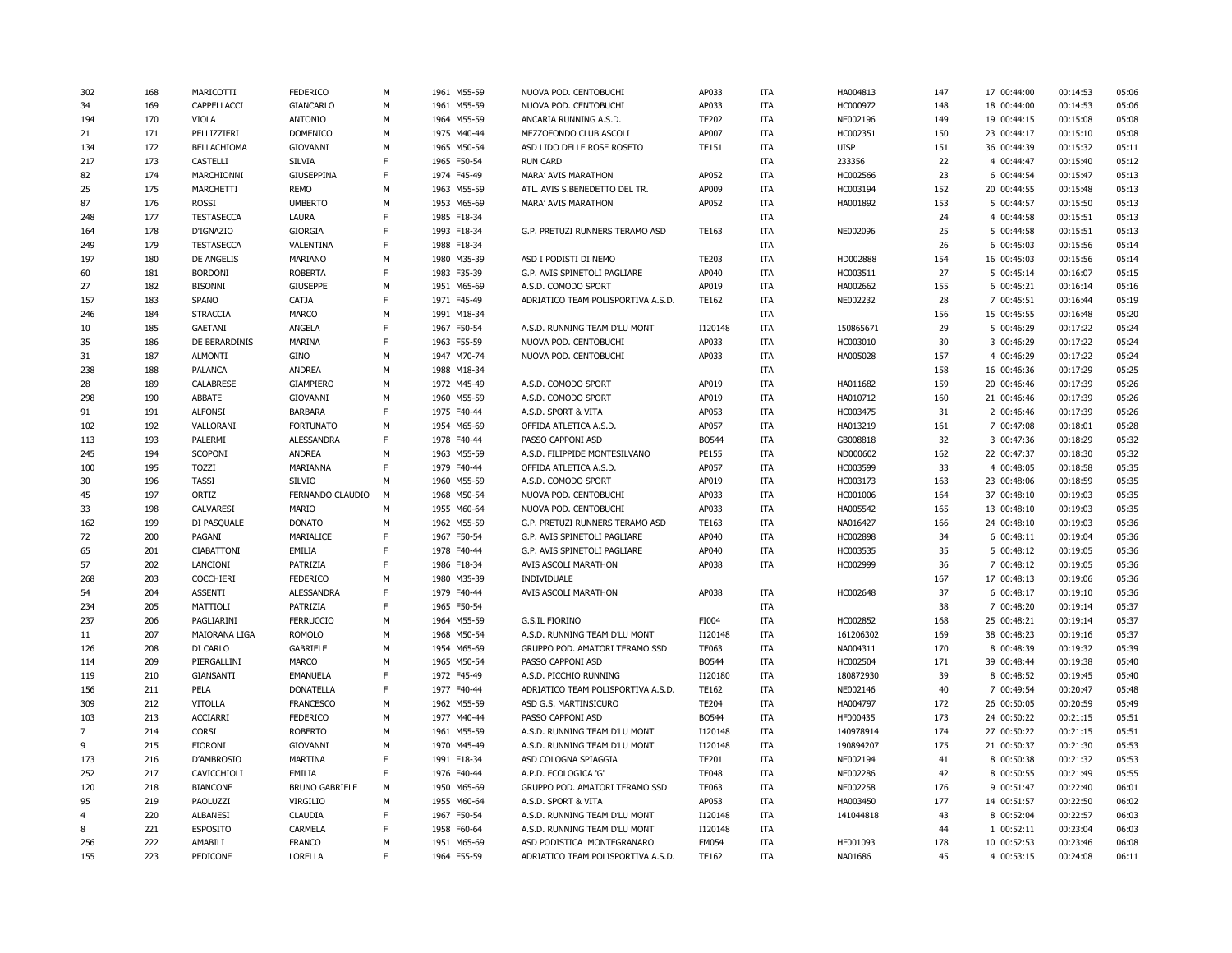| 302            | 168 | MARICOTTI         | <b>FEDERICO</b>       | М  | 1961 M55-59 | NUOVA POD. CENTOBUCHI              | AP033        | ITA        | HA004813    | 147 | 17 00:44:00 | 00:14:53 | 05:06 |
|----------------|-----|-------------------|-----------------------|----|-------------|------------------------------------|--------------|------------|-------------|-----|-------------|----------|-------|
| 34             | 169 | CAPPELLACCI       | <b>GIANCARLO</b>      | M  | 1961 M55-59 | NUOVA POD. CENTOBUCHI              | AP033        | ITA        | HC000972    | 148 | 18 00:44:00 | 00:14:53 | 05:06 |
| 194            | 170 | <b>VIOLA</b>      | <b>ANTONIO</b>        | M  | 1964 M55-59 | ANCARIA RUNNING A.S.D.             | <b>TE202</b> | ITA        | NE002196    | 149 | 19 00:44:15 | 00:15:08 | 05:08 |
| 21             | 171 | PELLIZZIERI       | <b>DOMENICO</b>       | M  | 1975 M40-44 | MEZZOFONDO CLUB ASCOLI             | AP007        | ITA        | HC002351    | 150 | 23 00:44:17 | 00:15:10 | 05:08 |
| 134            | 172 | BELLACHIOMA       | GIOVANNI              | M  | 1965 M50-54 | ASD LIDO DELLE ROSE ROSETO         | <b>TE151</b> | <b>ITA</b> | <b>UISP</b> | 151 | 36 00:44:39 | 00:15:32 | 05:11 |
| 217            | 173 | CASTELLI          | <b>SILVIA</b>         | F  | 1965 F50-54 | <b>RUN CARD</b>                    |              | <b>ITA</b> | 233356      | 22  | 4 00:44:47  | 00:15:40 | 05:12 |
| 82             | 174 | MARCHIONNI        | <b>GIUSEPPINA</b>     | F  | 1974 F45-49 | MARA' AVIS MARATHON                | AP052        | <b>ITA</b> | HC002566    | 23  | 6 00:44:54  | 00:15:47 | 05:13 |
| 25             | 175 | MARCHETTI         | <b>REMO</b>           | M  | 1963 M55-59 | ATL. AVIS S.BENEDETTO DEL TR.      | AP009        | <b>ITA</b> | HC003194    | 152 | 20 00:44:55 | 00:15:48 | 05:13 |
|                |     |                   |                       | M  |             |                                    |              |            |             |     |             |          | 05:13 |
| 87             | 176 | <b>ROSSI</b>      | <b>UMBERTO</b>        | E  | 1953 M65-69 | MARA' AVIS MARATHON                | AP052        | ITA        | HA001892    | 153 | 5 00:44:57  | 00:15:50 |       |
| 248            | 177 | <b>TESTASECCA</b> | <b>LAURA</b>          |    | 1985 F18-34 |                                    |              | ITA        |             | 24  | 4 00:44:58  | 00:15:51 | 05:13 |
| 164            | 178 | D'IGNAZIO         | <b>GIORGIA</b>        | E  | 1993 F18-34 | G.P. PRETUZI RUNNERS TERAMO ASD    | TE163        | <b>ITA</b> | NE002096    | 25  | 5 00:44:58  | 00:15:51 | 05:13 |
| 249            | 179 | <b>TESTASECCA</b> | VALENTINA             | E  | 1988 F18-34 |                                    |              | <b>ITA</b> |             | 26  | 6 00:45:03  | 00:15:56 | 05:14 |
| 197            | 180 | DE ANGELIS        | MARIANO               | M  | 1980 M35-39 | ASD I PODISTI DI NEMO              | <b>TE203</b> | ITA        | HD002888    | 154 | 16 00:45:03 | 00:15:56 | 05:14 |
| 60             | 181 | <b>BORDONI</b>    | <b>ROBERTA</b>        | E  | 1983 F35-39 | G.P. AVIS SPINETOLI PAGLIARE       | AP040        | <b>ITA</b> | HC003511    | 27  | 5 00:45:14  | 00:16:07 | 05:15 |
| 27             | 182 | <b>BISONNI</b>    | <b>GIUSEPPE</b>       | M  | 1951 M65-69 | A.S.D. COMODO SPORT                | AP019        | ITA        | HA002662    | 155 | 6 00:45:21  | 00:16:14 | 05:16 |
| 157            | 183 | SPANO             | CATJA                 | E  | 1971 F45-49 | ADRIATICO TEAM POLISPORTIVA A.S.D. | <b>TE162</b> | ITA        | NE002232    | 28  | 7 00:45:51  | 00:16:44 | 05:19 |
| 246            | 184 | <b>STRACCIA</b>   | <b>MARCO</b>          | M  | 1991 M18-34 |                                    |              | ITA        |             | 156 | 15 00:45:55 | 00:16:48 | 05:20 |
| 10             | 185 | <b>GAETANI</b>    | ANGELA                | F  | 1967 F50-54 | A.S.D. RUNNING TEAM D'LU MONT      | I120148      | <b>ITA</b> | 150865671   | 29  | 5 00:46:29  | 00:17:22 | 05:24 |
| 35             | 186 | DE BERARDINIS     | MARINA                | F. | 1963 F55-59 | NUOVA POD. CENTOBUCHI              | AP033        | ITA        | HC003010    | 30  | 3 00:46:29  | 00:17:22 | 05:24 |
| 31             | 187 | <b>ALMONTI</b>    | GINO                  | M  | 1947 M70-74 | NUOVA POD. CENTOBUCHI              | AP033        | <b>ITA</b> | HA005028    | 157 | 4 00:46:29  | 00:17:22 | 05:24 |
| 238            | 188 | <b>PALANCA</b>    | <b>ANDREA</b>         | M  | 1988 M18-34 |                                    |              | <b>ITA</b> |             | 158 | 16 00:46:36 | 00:17:29 | 05:25 |
| 28             | 189 | CALABRESE         | <b>GIAMPIERO</b>      | M  | 1972 M45-49 | A.S.D. COMODO SPORT                | AP019        | ITA        | HA011682    | 159 | 20 00:46:46 | 00:17:39 | 05:26 |
| 298            | 190 | ABBATE            | GIOVANNI              | M  | 1960 M55-59 | A.S.D. COMODO SPORT                | AP019        | <b>ITA</b> | HA010712    | 160 | 21 00:46:46 | 00:17:39 | 05:26 |
| 91             | 191 | <b>ALFONSI</b>    | <b>BARBARA</b>        | F  | 1975 F40-44 | A.S.D. SPORT & VITA                | AP053        | ITA        | HC003475    | 31  | 2 00:46:46  | 00:17:39 | 05:26 |
| 102            | 192 | VALLORANI         | <b>FORTUNATO</b>      | M  | 1954 M65-69 | OFFIDA ATLETICA A.S.D.             | AP057        | ITA        | HA013219    | 161 | 7 00:47:08  | 00:18:01 | 05:28 |
| 113            | 193 | PALERMI           | <b>ALESSANDRA</b>     | F  | 1978 F40-44 | PASSO CAPPONI ASD                  | BO544        | ITA        | GB008818    | 32  | 3 00:47:36  | 00:18:29 | 05:32 |
| 245            | 194 | <b>SCOPONI</b>    | <b>ANDREA</b>         | M  | 1963 M55-59 | A.S.D. FILIPPIDE MONTESILVANO      | PE155        | ITA        | ND000602    | 162 | 22 00:47:37 | 00:18:30 | 05:32 |
| 100            | 195 | <b>TOZZI</b>      | MARIANNA              | F  | 1979 F40-44 | OFFIDA ATLETICA A.S.D.             | AP057        | ITA        | HC003599    | 33  | 4 00:48:05  | 00:18:58 | 05:35 |
| 30             | 196 | <b>TASSI</b>      | SILVIO                | M  | 1960 M55-59 | A.S.D. COMODO SPORT                | AP019        | ITA        | HC003173    | 163 | 23 00:48:06 | 00:18:59 | 05:35 |
| 45             | 197 | ORTIZ             | FERNANDO CLAUDIO      | M  | 1968 M50-54 | NUOVA POD. CENTOBUCHI              | AP033        | ITA        | HC001006    | 164 | 37 00:48:10 | 00:19:03 | 05:35 |
| 33             | 198 | CALVARESI         | <b>MARIO</b>          | M  | 1955 M60-64 | NUOVA POD. CENTOBUCHI              | AP033        | ITA        | HA005542    | 165 | 13 00:48:10 | 00:19:03 | 05:35 |
| 162            | 199 | DI PASQUALE       | <b>DONATO</b>         | M  | 1962 M55-59 | G.P. PRETUZI RUNNERS TERAMO ASD    | TE163        | <b>ITA</b> | NA016427    | 166 | 24 00:48:10 | 00:19:03 | 05:36 |
| 72             | 200 | PAGANI            | MARIALICE             | F  | 1967 F50-54 | G.P. AVIS SPINETOLI PAGLIARE       | AP040        | ITA        | HC002898    | 34  | 6 00:48:11  | 00:19:04 | 05:36 |
| 65             | 201 | CIABATTONI        | EMILIA                | E  | 1978 F40-44 | G.P. AVIS SPINETOLI PAGLIARE       | AP040        | <b>ITA</b> | HC003535    | 35  | 5 00:48:12  | 00:19:05 | 05:36 |
| 57             | 202 | LANCIONI          | PATRIZIA              | F  | 1986 F18-34 | AVIS ASCOLI MARATHON               | AP038        | ITA        | HC002999    | 36  | 7 00:48:12  | 00:19:05 | 05:36 |
| 268            | 203 | <b>COCCHIERI</b>  | <b>FEDERICO</b>       | M  | 1980 M35-39 | INDIVIDUALE                        |              |            |             | 167 | 17 00:48:13 | 00:19:06 | 05:36 |
| 54             | 204 | <b>ASSENTI</b>    | <b>ALESSANDRA</b>     | E  | 1979 F40-44 | AVIS ASCOLI MARATHON               | AP038        | ITA        | HC002648    | 37  | 6 00:48:17  | 00:19:10 | 05:36 |
| 234            | 205 | MATTIOLI          | PATRIZIA              | F  | 1965 F50-54 |                                    |              | <b>ITA</b> |             | 38  | 7 00:48:20  | 00:19:14 | 05:37 |
| 237            | 206 | PAGLIARINI        | <b>FERRUCCIO</b>      | M  | 1964 M55-59 | <b>G.S.IL FIORINO</b>              | FI004        | <b>ITA</b> | HC002852    | 168 | 25 00:48:21 | 00:19:14 | 05:37 |
|                |     |                   |                       | M  |             |                                    |              |            |             |     |             |          |       |
| 11             | 207 | MAIORANA LIGA     | <b>ROMOLO</b>         |    | 1968 M50-54 | A.S.D. RUNNING TEAM D'LU MONT      | I120148      | <b>ITA</b> | 161206302   | 169 | 38 00:48:23 | 00:19:16 | 05:37 |
| 126            | 208 | DI CARLO          | <b>GABRIELE</b>       | M  | 1954 M65-69 | GRUPPO POD. AMATORI TERAMO SSD     | <b>TE063</b> | ITA        | NA004311    | 170 | 8 00:48:39  | 00:19:32 | 05:39 |
| 114            | 209 | PIERGALLINI       | MARCO                 | M  | 1965 M50-54 | PASSO CAPPONI ASD                  | BO544        | ITA        | HC002504    | 171 | 39 00:48:44 | 00:19:38 | 05:40 |
| 119            | 210 | GIANSANTI         | <b>EMANUELA</b>       | E  | 1972 F45-49 | A.S.D. PICCHIO RUNNING             | I120180      | <b>ITA</b> | 180872930   | 39  | 8 00:48:52  | 00:19:45 | 05:40 |
| 156            | 211 | PELA              | <b>DONATELLA</b>      | F  | 1977 F40-44 | ADRIATICO TEAM POLISPORTIVA A.S.D. | <b>TE162</b> | <b>ITA</b> | NE002146    | 40  | 7 00:49:54  | 00:20:47 | 05:48 |
| 309            | 212 | <b>VITOLLA</b>    | <b>FRANCESCO</b>      | M  | 1962 M55-59 | ASD G.S. MARTINSICURO              | <b>TE204</b> | <b>ITA</b> | HA004797    | 172 | 26 00:50:05 | 00:20:59 | 05:49 |
| 103            | 213 | <b>ACCIARRI</b>   | <b>FEDERICO</b>       | M  | 1977 M40-44 | PASSO CAPPONI ASD                  | BO544        | ITA        | HF000435    | 173 | 24 00:50:22 | 00:21:15 | 05:51 |
| $\overline{7}$ | 214 | <b>CORSI</b>      | <b>ROBERTO</b>        | M  | 1961 M55-59 | A.S.D. RUNNING TEAM D'LU MONT      | I120148      | <b>ITA</b> | 140978914   | 174 | 27 00:50:22 | 00:21:15 | 05:51 |
| 9              | 215 | <b>FIORONI</b>    | GIOVANNI              | M  | 1970 M45-49 | A.S.D. RUNNING TEAM D'LU MONT      | I120148      | ITA        | 190894207   | 175 | 21 00:50:37 | 00:21:30 | 05:53 |
| 173            | 216 | D'AMBROSIO        | <b>MARTINA</b>        | E  | 1991 F18-34 | ASD COLOGNA SPIAGGIA               | <b>TE201</b> | <b>ITA</b> | NE002194    | 41  | 8 00:50:38  | 00:21:32 | 05:53 |
| 252            | 217 | CAVICCHIOLI       | EMILIA                | F  | 1976 F40-44 | A.P.D. ECOLOGICA 'G'               | <b>TE048</b> | ITA        | NE002286    | 42  | 8 00:50:55  | 00:21:49 | 05:55 |
| 120            | 218 | <b>BIANCONE</b>   | <b>BRUNO GABRIELE</b> | M  | 1950 M65-69 | GRUPPO POD. AMATORI TERAMO SSD     | <b>TE063</b> | ITA        | NE002258    | 176 | 9 00:51:47  | 00:22:40 | 06:01 |
| 95             | 219 | PAOLUZZI          | VIRGILIO              | M  | 1955 M60-64 | A.S.D. SPORT & VITA                | AP053        | ITA        | HA003450    | 177 | 14 00:51:57 | 00:22:50 | 06:02 |
| $\overline{4}$ | 220 | <b>ALBANESI</b>   | <b>CLAUDIA</b>        | F  | 1967 F50-54 | A.S.D. RUNNING TEAM D'LU MONT      | I120148      | ITA        | 141044818   | 43  | 8 00:52:04  | 00:22:57 | 06:03 |
| 8              | 221 | <b>ESPOSITO</b>   | CARMELA               | E  | 1958 F60-64 | A.S.D. RUNNING TEAM D'LU MONT      | I120148      | <b>ITA</b> |             | 44  | 1 00:52:11  | 00:23:04 | 06:03 |
| 256            | 222 | AMABILI           | <b>FRANCO</b>         | M  | 1951 M65-69 | ASD PODISTICA MONTEGRANARO         | <b>FM054</b> | ITA        | HF001093    | 178 | 10 00:52:53 | 00:23:46 | 06:08 |
| 155            | 223 | PEDICONE          | LORELLA               | E  | 1964 F55-59 | ADRIATICO TEAM POLISPORTIVA A.S.D. | <b>TE162</b> | <b>ITA</b> | NA01686     | 45  | 4 00:53:15  | 00:24:08 | 06:11 |